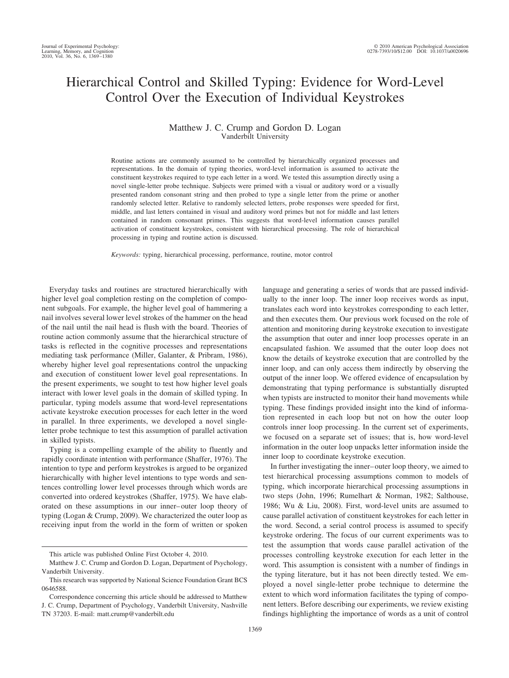# Hierarchical Control and Skilled Typing: Evidence for Word-Level Control Over the Execution of Individual Keystrokes

# Matthew J. C. Crump and Gordon D. Logan Vanderbilt University

Routine actions are commonly assumed to be controlled by hierarchically organized processes and representations. In the domain of typing theories, word-level information is assumed to activate the constituent keystrokes required to type each letter in a word. We tested this assumption directly using a novel single-letter probe technique. Subjects were primed with a visual or auditory word or a visually presented random consonant string and then probed to type a single letter from the prime or another randomly selected letter. Relative to randomly selected letters, probe responses were speeded for first, middle, and last letters contained in visual and auditory word primes but not for middle and last letters contained in random consonant primes. This suggests that word-level information causes parallel activation of constituent keystrokes, consistent with hierarchical processing. The role of hierarchical processing in typing and routine action is discussed.

*Keywords:* typing, hierarchical processing, performance, routine, motor control

Everyday tasks and routines are structured hierarchically with higher level goal completion resting on the completion of component subgoals. For example, the higher level goal of hammering a nail involves several lower level strokes of the hammer on the head of the nail until the nail head is flush with the board. Theories of routine action commonly assume that the hierarchical structure of tasks is reflected in the cognitive processes and representations mediating task performance (Miller, Galanter, & Pribram, 1986), whereby higher level goal representations control the unpacking and execution of constituent lower level goal representations. In the present experiments, we sought to test how higher level goals interact with lower level goals in the domain of skilled typing. In particular, typing models assume that word-level representations activate keystroke execution processes for each letter in the word in parallel. In three experiments, we developed a novel singleletter probe technique to test this assumption of parallel activation in skilled typists.

Typing is a compelling example of the ability to fluently and rapidly coordinate intention with performance (Shaffer, 1976). The intention to type and perform keystrokes is argued to be organized hierarchically with higher level intentions to type words and sentences controlling lower level processes through which words are converted into ordered keystrokes (Shaffer, 1975). We have elaborated on these assumptions in our inner– outer loop theory of typing (Logan & Crump, 2009). We characterized the outer loop as receiving input from the world in the form of written or spoken language and generating a series of words that are passed individually to the inner loop. The inner loop receives words as input, translates each word into keystrokes corresponding to each letter, and then executes them. Our previous work focused on the role of attention and monitoring during keystroke execution to investigate the assumption that outer and inner loop processes operate in an encapsulated fashion. We assumed that the outer loop does not know the details of keystroke execution that are controlled by the inner loop, and can only access them indirectly by observing the output of the inner loop. We offered evidence of encapsulation by demonstrating that typing performance is substantially disrupted when typists are instructed to monitor their hand movements while typing. These findings provided insight into the kind of information represented in each loop but not on how the outer loop controls inner loop processing. In the current set of experiments, we focused on a separate set of issues; that is, how word-level information in the outer loop unpacks letter information inside the inner loop to coordinate keystroke execution.

In further investigating the inner– outer loop theory, we aimed to test hierarchical processing assumptions common to models of typing, which incorporate hierarchical processing assumptions in two steps (John, 1996; Rumelhart & Norman, 1982; Salthouse, 1986; Wu & Liu, 2008). First, word-level units are assumed to cause parallel activation of constituent keystrokes for each letter in the word. Second, a serial control process is assumed to specify keystroke ordering. The focus of our current experiments was to test the assumption that words cause parallel activation of the processes controlling keystroke execution for each letter in the word. This assumption is consistent with a number of findings in the typing literature, but it has not been directly tested. We employed a novel single-letter probe technique to determine the extent to which word information facilitates the typing of component letters. Before describing our experiments, we review existing findings highlighting the importance of words as a unit of control

This article was published Online First October 4, 2010.

Matthew J. C. Crump and Gordon D. Logan, Department of Psychology, Vanderbilt University.

This research was supported by National Science Foundation Grant BCS 0646588.

Correspondence concerning this article should be addressed to Matthew J. C. Crump, Department of Psychology, Vanderbilt University, Nashville TN 37203. E-mail: matt.crump@vanderbilt.edu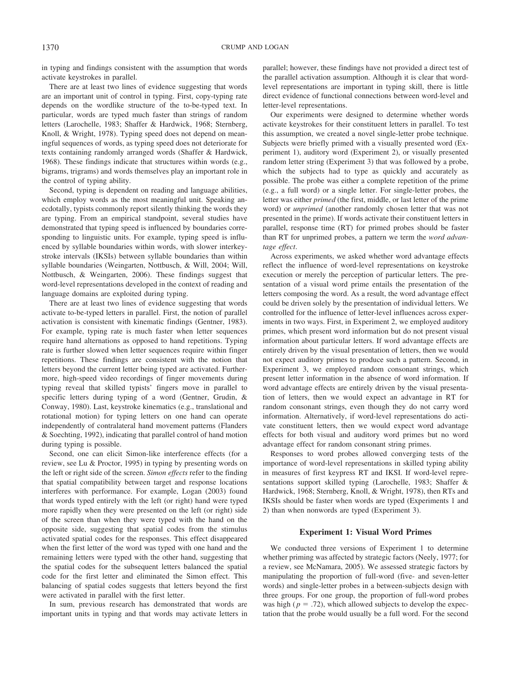in typing and findings consistent with the assumption that words activate keystrokes in parallel.

There are at least two lines of evidence suggesting that words are an important unit of control in typing. First, copy-typing rate depends on the wordlike structure of the to-be-typed text. In particular, words are typed much faster than strings of random letters (Larochelle, 1983; Shaffer & Hardwick, 1968; Sternberg, Knoll, & Wright, 1978). Typing speed does not depend on meaningful sequences of words, as typing speed does not deteriorate for texts containing randomly arranged words (Shaffer & Hardwick, 1968). These findings indicate that structures within words (e.g., bigrams, trigrams) and words themselves play an important role in the control of typing ability.

Second, typing is dependent on reading and language abilities, which employ words as the most meaningful unit. Speaking anecdotally, typists commonly report silently thinking the words they are typing. From an empirical standpoint, several studies have demonstrated that typing speed is influenced by boundaries corresponding to linguistic units. For example, typing speed is influenced by syllable boundaries within words, with slower interkeystroke intervals (IKSIs) between syllable boundaries than within syllable boundaries (Weingarten, Nottbusch, & Will, 2004; Will, Nottbusch, & Weingarten, 2006). These findings suggest that word-level representations developed in the context of reading and language domains are exploited during typing.

There are at least two lines of evidence suggesting that words activate to-be-typed letters in parallel. First, the notion of parallel activation is consistent with kinematic findings (Gentner, 1983). For example, typing rate is much faster when letter sequences require hand alternations as opposed to hand repetitions. Typing rate is further slowed when letter sequences require within finger repetitions. These findings are consistent with the notion that letters beyond the current letter being typed are activated. Furthermore, high-speed video recordings of finger movements during typing reveal that skilled typists' fingers move in parallel to specific letters during typing of a word (Gentner, Grudin, & Conway, 1980). Last, keystroke kinematics (e.g., translational and rotational motion) for typing letters on one hand can operate independently of contralateral hand movement patterns (Flanders & Soechting, 1992), indicating that parallel control of hand motion during typing is possible.

Second, one can elicit Simon-like interference effects (for a review, see Lu & Proctor, 1995) in typing by presenting words on the left or right side of the screen. *Simon effects* refer to the finding that spatial compatibility between target and response locations interferes with performance. For example, Logan (2003) found that words typed entirely with the left (or right) hand were typed more rapidly when they were presented on the left (or right) side of the screen than when they were typed with the hand on the opposite side, suggesting that spatial codes from the stimulus activated spatial codes for the responses. This effect disappeared when the first letter of the word was typed with one hand and the remaining letters were typed with the other hand, suggesting that the spatial codes for the subsequent letters balanced the spatial code for the first letter and eliminated the Simon effect. This balancing of spatial codes suggests that letters beyond the first were activated in parallel with the first letter.

In sum, previous research has demonstrated that words are important units in typing and that words may activate letters in parallel; however, these findings have not provided a direct test of the parallel activation assumption. Although it is clear that wordlevel representations are important in typing skill, there is little direct evidence of functional connections between word-level and letter-level representations.

Our experiments were designed to determine whether words activate keystrokes for their constituent letters in parallel. To test this assumption, we created a novel single-letter probe technique. Subjects were briefly primed with a visually presented word (Experiment 1), auditory word (Experiment 2), or visually presented random letter string (Experiment 3) that was followed by a probe, which the subjects had to type as quickly and accurately as possible. The probe was either a complete repetition of the prime (e.g., a full word) or a single letter. For single-letter probes, the letter was either *primed* (the first, middle, or last letter of the prime word) or *unprimed* (another randomly chosen letter that was not presented in the prime). If words activate their constituent letters in parallel, response time (RT) for primed probes should be faster than RT for unprimed probes, a pattern we term the *word advantage effect*.

Across experiments, we asked whether word advantage effects reflect the influence of word-level representations on keystroke execution or merely the perception of particular letters. The presentation of a visual word prime entails the presentation of the letters composing the word. As a result, the word advantage effect could be driven solely by the presentation of individual letters. We controlled for the influence of letter-level influences across experiments in two ways. First, in Experiment 2, we employed auditory primes, which present word information but do not present visual information about particular letters. If word advantage effects are entirely driven by the visual presentation of letters, then we would not expect auditory primes to produce such a pattern. Second, in Experiment 3, we employed random consonant strings, which present letter information in the absence of word information. If word advantage effects are entirely driven by the visual presentation of letters, then we would expect an advantage in RT for random consonant strings, even though they do not carry word information. Alternatively, if word-level representations do activate constituent letters, then we would expect word advantage effects for both visual and auditory word primes but no word advantage effect for random consonant string primes.

Responses to word probes allowed converging tests of the importance of word-level representations in skilled typing ability in measures of first keypress RT and IKSI. If word-level representations support skilled typing (Larochelle, 1983; Shaffer & Hardwick, 1968; Sternberg, Knoll, & Wright, 1978), then RTs and IKSIs should be faster when words are typed (Experiments 1 and 2) than when nonwords are typed (Experiment 3).

# **Experiment 1: Visual Word Primes**

We conducted three versions of Experiment 1 to determine whether priming was affected by strategic factors (Neely, 1977; for a review, see McNamara, 2005). We assessed strategic factors by manipulating the proportion of full-word (five- and seven-letter words) and single-letter probes in a between-subjects design with three groups. For one group, the proportion of full-word probes was high ( $p = .72$ ), which allowed subjects to develop the expectation that the probe would usually be a full word. For the second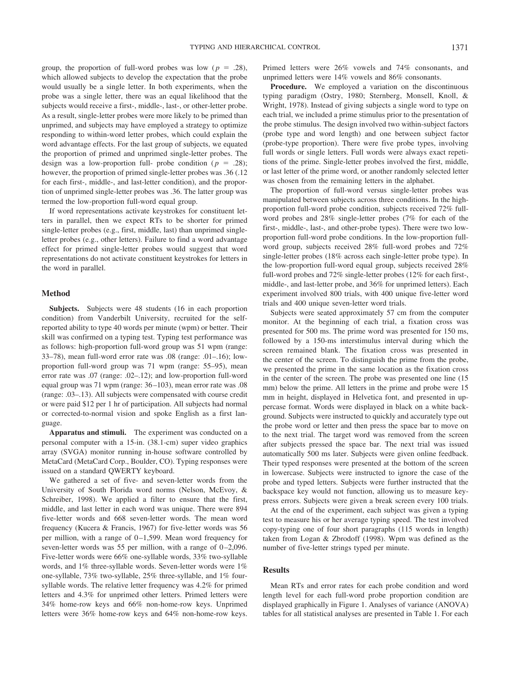group, the proportion of full-word probes was low ( $p = .28$ ), which allowed subjects to develop the expectation that the probe would usually be a single letter. In both experiments, when the probe was a single letter, there was an equal likelihood that the subjects would receive a first-, middle-, last-, or other-letter probe. As a result, single-letter probes were more likely to be primed than unprimed, and subjects may have employed a strategy to optimize responding to within-word letter probes, which could explain the word advantage effects. For the last group of subjects, we equated the proportion of primed and unprimed single-letter probes. The design was a low-proportion full- probe condition ( $p = .28$ ); however, the proportion of primed single-letter probes was .36 (.12 for each first-, middle-, and last-letter condition), and the proportion of unprimed single-letter probes was .36. The latter group was termed the low-proportion full-word equal group.

If word representations activate keystrokes for constituent letters in parallel, then we expect RTs to be shorter for primed single-letter probes (e.g., first, middle, last) than unprimed singleletter probes (e.g., other letters). Failure to find a word advantage effect for primed single-letter probes would suggest that word representations do not activate constituent keystrokes for letters in the word in parallel.

#### **Method**

**Subjects.** Subjects were 48 students (16 in each proportion condition) from Vanderbilt University, recruited for the selfreported ability to type 40 words per minute (wpm) or better. Their skill was confirmed on a typing test. Typing test performance was as follows: high-proportion full-word group was 51 wpm (range: 33–78), mean full-word error rate was .08 (range: .01–.16); lowproportion full-word group was 71 wpm (range: 55–95), mean error rate was .07 (range: .02–.12); and low-proportion full-word equal group was 71 wpm (range: 36 –103), mean error rate was .08 (range: .03–.13). All subjects were compensated with course credit or were paid \$12 per 1 hr of participation. All subjects had normal or corrected-to-normal vision and spoke English as a first language.

**Apparatus and stimuli.** The experiment was conducted on a personal computer with a 15-in. (38.1-cm) super video graphics array (SVGA) monitor running in-house software controlled by MetaCard (MetaCard Corp., Boulder, CO). Typing responses were issued on a standard QWERTY keyboard.

We gathered a set of five- and seven-letter words from the University of South Florida word norms (Nelson, McEvoy, & Schreiber, 1998). We applied a filter to ensure that the first, middle, and last letter in each word was unique. There were 894 five-letter words and 668 seven-letter words. The mean word frequency (Kucera & Francis, 1967) for five-letter words was 56 per million, with a range of  $0-1,599$ . Mean word frequency for seven-letter words was 55 per million, with a range of  $0-2,096$ . Five-letter words were 66% one-syllable words, 33% two-syllable words, and 1% three-syllable words. Seven-letter words were 1% one-syllable, 73% two-syllable, 25% three-syllable, and 1% foursyllable words. The relative letter frequency was 4.2% for primed letters and 4.3% for unprimed other letters. Primed letters were 34% home-row keys and 66% non-home-row keys. Unprimed letters were 36% home-row keys and 64% non-home-row keys. Primed letters were 26% vowels and 74% consonants, and unprimed letters were 14% vowels and 86% consonants.

Procedure. We employed a variation on the discontinuous typing paradigm (Ostry, 1980; Sternberg, Monsell, Knoll, & Wright, 1978). Instead of giving subjects a single word to type on each trial, we included a prime stimulus prior to the presentation of the probe stimulus. The design involved two within-subject factors (probe type and word length) and one between subject factor (probe-type proportion). There were five probe types, involving full words or single letters. Full words were always exact repetitions of the prime. Single-letter probes involved the first, middle, or last letter of the prime word, or another randomly selected letter was chosen from the remaining letters in the alphabet.

The proportion of full-word versus single-letter probes was manipulated between subjects across three conditions. In the highproportion full-word probe condition, subjects received 72% fullword probes and 28% single-letter probes (7% for each of the first-, middle-, last-, and other-probe types). There were two lowproportion full-word probe conditions. In the low-proportion fullword group, subjects received 28% full-word probes and 72% single-letter probes (18% across each single-letter probe type). In the low-proportion full-word equal group, subjects received 28% full-word probes and 72% single-letter probes (12% for each first-, middle-, and last-letter probe, and 36% for unprimed letters). Each experiment involved 800 trials, with 400 unique five-letter word trials and 400 unique seven-letter word trials.

Subjects were seated approximately 57 cm from the computer monitor. At the beginning of each trial, a fixation cross was presented for 500 ms. The prime word was presented for 150 ms, followed by a 150-ms interstimulus interval during which the screen remained blank. The fixation cross was presented in the center of the screen. To distinguish the prime from the probe, we presented the prime in the same location as the fixation cross in the center of the screen. The probe was presented one line (15 mm) below the prime. All letters in the prime and probe were 15 mm in height, displayed in Helvetica font, and presented in uppercase format. Words were displayed in black on a white background. Subjects were instructed to quickly and accurately type out the probe word or letter and then press the space bar to move on to the next trial. The target word was removed from the screen after subjects pressed the space bar. The next trial was issued automatically 500 ms later. Subjects were given online feedback. Their typed responses were presented at the bottom of the screen in lowercase. Subjects were instructed to ignore the case of the probe and typed letters. Subjects were further instructed that the backspace key would not function, allowing us to measure keypress errors. Subjects were given a break screen every 100 trials.

At the end of the experiment, each subject was given a typing test to measure his or her average typing speed. The test involved copy-typing one of four short paragraphs (115 words in length) taken from Logan & Zbrodoff (1998). Wpm was defined as the number of five-letter strings typed per minute.

## **Results**

Mean RTs and error rates for each probe condition and word length level for each full-word probe proportion condition are displayed graphically in Figure 1. Analyses of variance (ANOVA) tables for all statistical analyses are presented in Table 1. For each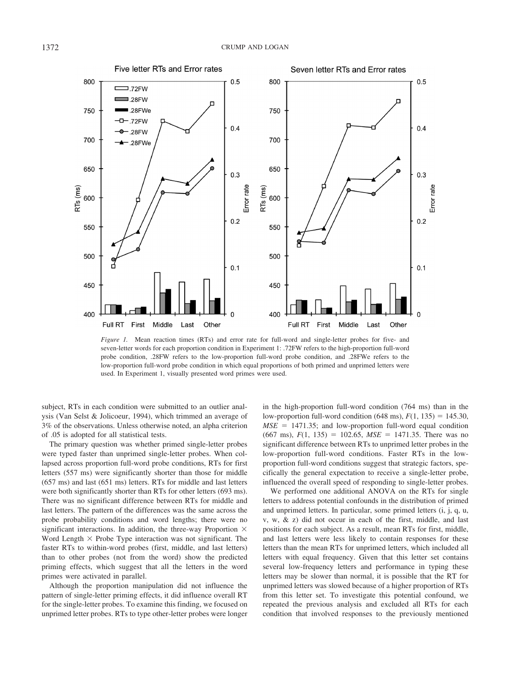

*Figure 1.* Mean reaction times (RTs) and error rate for full-word and single-letter probes for five- and seven-letter words for each proportion condition in Experiment 1: .72FW refers to the high-proportion full-word probe condition, .28FW refers to the low-proportion full-word probe condition, and .28FWe refers to the low-proportion full-word probe condition in which equal proportions of both primed and unprimed letters were used. In Experiment 1, visually presented word primes were used.

subject, RTs in each condition were submitted to an outlier analysis (Van Selst & Jolicoeur, 1994), which trimmed an average of 3% of the observations. Unless otherwise noted, an alpha criterion of .05 is adopted for all statistical tests.

The primary question was whether primed single-letter probes were typed faster than unprimed single-letter probes. When collapsed across proportion full-word probe conditions, RTs for first letters (557 ms) were significantly shorter than those for middle (657 ms) and last (651 ms) letters. RTs for middle and last letters were both significantly shorter than RTs for other letters (693 ms). There was no significant difference between RTs for middle and last letters. The pattern of the differences was the same across the probe probability conditions and word lengths; there were no significant interactions. In addition, the three-way Proportion  $\times$ Word Length  $\times$  Probe Type interaction was not significant. The faster RTs to within-word probes (first, middle, and last letters) than to other probes (not from the word) show the predicted priming effects, which suggest that all the letters in the word primes were activated in parallel.

Although the proportion manipulation did not influence the pattern of single-letter priming effects, it did influence overall RT for the single-letter probes. To examine this finding, we focused on unprimed letter probes. RTs to type other-letter probes were longer in the high-proportion full-word condition (764 ms) than in the low-proportion full-word condition (648 ms),  $F(1, 135) = 145.30$ ,  $MSE = 1471.35$ ; and low-proportion full-word equal condition  $(667 \text{ ms})$ ,  $F(1, 135) = 102.65$ ,  $MSE = 1471.35$ . There was no significant difference between RTs to unprimed letter probes in the low-proportion full-word conditions. Faster RTs in the lowproportion full-word conditions suggest that strategic factors, specifically the general expectation to receive a single-letter probe, influenced the overall speed of responding to single-letter probes.

We performed one additional ANOVA on the RTs for single letters to address potential confounds in the distribution of primed and unprimed letters. In particular, some primed letters (i, j, q, u, v, w, & z) did not occur in each of the first, middle, and last positions for each subject. As a result, mean RTs for first, middle, and last letters were less likely to contain responses for these letters than the mean RTs for unprimed letters, which included all letters with equal frequency. Given that this letter set contains several low-frequency letters and performance in typing these letters may be slower than normal, it is possible that the RT for unprimed letters was slowed because of a higher proportion of RTs from this letter set. To investigate this potential confound, we repeated the previous analysis and excluded all RTs for each condition that involved responses to the previously mentioned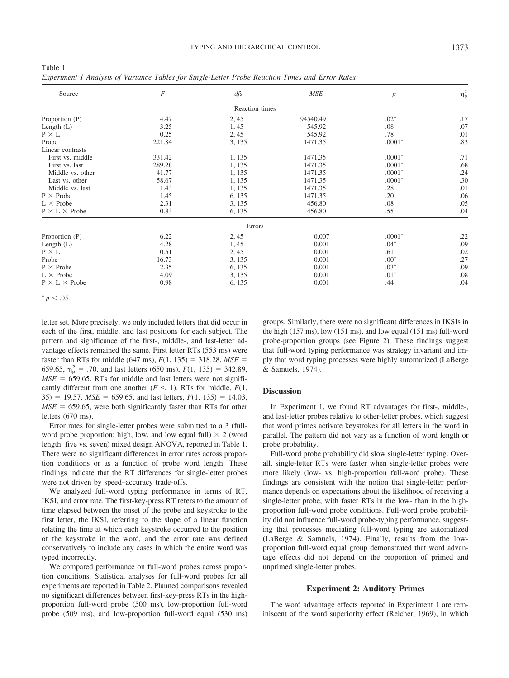| Table 1                                                                                         |  |  |
|-------------------------------------------------------------------------------------------------|--|--|
| Experiment 1 Analysis of Variance Tables for Single-Letter Probe Reaction Times and Error Rates |  |  |

| Source                    | F      | dfs            | <b>MSE</b> | $\boldsymbol{p}$ | $\eta_p^2$ |
|---------------------------|--------|----------------|------------|------------------|------------|
|                           |        | Reaction times |            |                  |            |
| Proportion (P)            | 4.47   | 2, 45          | 94540.49   | $.02*$           | .17        |
| Length $(L)$              | 3.25   | 1, 45          | 545.92     | .08              | .07        |
| $P \times L$              | 0.25   | 2, 45          | 545.92     | .78              | .01        |
| Probe                     | 221.84 | 3, 135         | 1471.35    | $.0001*$         | .83        |
| Linear contrasts          |        |                |            |                  |            |
| First vs. middle          | 331.42 | 1, 135         | 1471.35    | $.0001*$         | .71        |
| First vs. last            | 289.28 | 1, 135         | 1471.35    | $.0001*$         | .68        |
| Middle vs. other          | 41.77  | 1, 135         | 1471.35    | $.0001*$         | .24        |
| Last vs. other            | 58.67  | 1, 135         | 1471.35    | $.0001*$         | .30        |
| Middle vs. last           | 1.43   | 1, 135         | 1471.35    | .28              | .01        |
| $P \times$ Probe          | 1.45   | 6, 135         | 1471.35    | .20              | .06        |
| $L \times$ Probe          | 2.31   | 3, 135         | 456.80     | .08              | .05        |
| $P \times L \times$ Probe | 0.83   | 6, 135         | 456.80     | .55              | .04        |
|                           |        | Errors         |            |                  |            |
| Proportion (P)            | 6.22   | 2, 45          | 0.007      | $.0001*$         | .22        |
| Length $(L)$              | 4.28   | 1, 45          | 0.001      | $.04*$           | .09        |
| $P \times L$              | 0.51   | 2, 45          | 0.001      | .61              | .02        |
| Probe                     | 16.73  | 3, 135         | 0.001      | $.00*$           | .27        |
| $P \times$ Probe          | 2.35   | 6, 135         | 0.001      | $.03*$           | .09        |
| $L \times$ Probe          | 4.09   | 3, 135         | 0.001      | $.01*$           | .08        |
| $P \times L \times$ Probe | 0.98   | 6, 135         | 0.001      | .44              | .04        |

 $p < .05$ .

letter set. More precisely, we only included letters that did occur in each of the first, middle, and last positions for each subject. The pattern and significance of the first-, middle-, and last-letter advantage effects remained the same. First letter RTs (553 ms) were faster than RTs for middle (647 ms),  $F(1, 135) = 318.28$ ,  $MSE =$ 659.65,  $\eta_p^2 = .70$ , and last letters (650 ms),  $F(1, 135) = 342.89$ ,  $MSE = 659.65$ . RTs for middle and last letters were not significantly different from one another  $(F < 1)$ . RTs for middle,  $F(1)$ ,  $35) = 19.57$ ,  $MSE = 659.65$ , and last letters,  $F(1, 135) = 14.03$ ,  $MSE = 659.65$ , were both significantly faster than RTs for other letters (670 ms).

Error rates for single-letter probes were submitted to a 3 (fullword probe proportion: high, low, and low equal full)  $\times$  2 (word length: five vs. seven) mixed design ANOVA, reported in Table 1. There were no significant differences in error rates across proportion conditions or as a function of probe word length. These findings indicate that the RT differences for single-letter probes were not driven by speed–accuracy trade-offs.

We analyzed full-word typing performance in terms of RT, IKSI, and error rate. The first-key-press RT refers to the amount of time elapsed between the onset of the probe and keystroke to the first letter, the IKSI, referring to the slope of a linear function relating the time at which each keystroke occurred to the position of the keystroke in the word, and the error rate was defined conservatively to include any cases in which the entire word was typed incorrectly.

We compared performance on full-word probes across proportion conditions. Statistical analyses for full-word probes for all experiments are reported in Table 2. Planned comparisons revealed no significant differences between first-key-press RTs in the highproportion full-word probe (500 ms), low-proportion full-word probe (509 ms), and low-proportion full-word equal (530 ms) groups. Similarly, there were no significant differences in IKSIs in the high (157 ms), low (151 ms), and low equal (151 ms) full-word probe-proportion groups (see Figure 2). These findings suggest that full-word typing performance was strategy invariant and imply that word typing processes were highly automatized (LaBerge & Samuels, 1974).

## **Discussion**

In Experiment 1, we found RT advantages for first-, middle-, and last-letter probes relative to other-letter probes, which suggest that word primes activate keystrokes for all letters in the word in parallel. The pattern did not vary as a function of word length or probe probability.

Full-word probe probability did slow single-letter typing. Overall, single-letter RTs were faster when single-letter probes were more likely (low- vs. high-proportion full-word probe). These findings are consistent with the notion that single-letter performance depends on expectations about the likelihood of receiving a single-letter probe, with faster RTs in the low- than in the highproportion full-word probe conditions. Full-word probe probability did not influence full-word probe-typing performance, suggesting that processes mediating full-word typing are automatized (LaBerge & Samuels, 1974). Finally, results from the lowproportion full-word equal group demonstrated that word advantage effects did not depend on the proportion of primed and unprimed single-letter probes.

## **Experiment 2: Auditory Primes**

The word advantage effects reported in Experiment 1 are reminiscent of the word superiority effect (Reicher, 1969), in which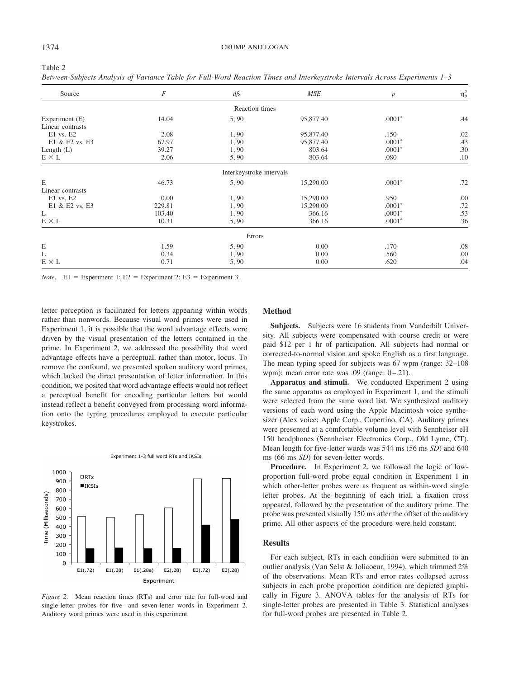| Between-Subjects Analysis of Variance Table for Full-Word Reaction Times and Interkeystroke Intervals Across Experiments 1–5 |        |                          |            |                  |            |
|------------------------------------------------------------------------------------------------------------------------------|--------|--------------------------|------------|------------------|------------|
| Source                                                                                                                       | F      | dfs                      | <b>MSE</b> | $\boldsymbol{p}$ | $\eta_p^2$ |
|                                                                                                                              |        | Reaction times           |            |                  |            |
| Experiment (E)                                                                                                               | 14.04  | 5,90                     | 95,877.40  | $.0001*$         | .44        |
| Linear contrasts                                                                                                             |        |                          |            |                  |            |
| $E1$ vs. $E2$                                                                                                                | 2.08   | 1,90                     | 95,877.40  | .150             | .02        |
| E1 & E2 vs. E3                                                                                                               | 67.97  | 1,90                     | 95,877.40  | $.0001*$         | .43        |
| Length $(L)$                                                                                                                 | 39.27  | 1,90                     | 803.64     | $.0001*$         | .30        |
| $E \times L$                                                                                                                 | 2.06   | 5,90                     | 803.64     | .080             | .10        |
|                                                                                                                              |        | Interkeystroke intervals |            |                  |            |
| E                                                                                                                            | 46.73  | 5,90                     | 15,290.00  | $.0001*$         | .72        |
| Linear contrasts                                                                                                             |        |                          |            |                  |            |
| $E1$ vs. $E2$                                                                                                                | 0.00   | 1,90                     | 15,290.00  | .950             | .00        |
| E1 & E2 vs. E3                                                                                                               | 229.81 | 1,90                     | 15,290.00  | $.0001*$         | .72        |
| L                                                                                                                            | 103.40 | 1,90                     | 366.16     | $.0001*$         | .53        |
| $E \times L$                                                                                                                 | 10.31  | 5,90                     | 366.16     | $.0001*$         | .36        |
|                                                                                                                              |        |                          |            |                  |            |

Errors

*Between-Subjects Analysis of Variance Table for Full-Word Reaction Times and Interkeystroke Intervals Across Experiments 1–3*

E 1.59 5, 90 0.00 1.170 0.8 L  $0.34$   $1, 90$   $0.00$   $.560$   $.00$  $E \times L$  $\times$  L 0.71 5, 90 0.00 .620 .04

*Note*. E1 = Experiment 1; E2 = Experiment 2; E3 = Experiment 3.

letter perception is facilitated for letters appearing within words rather than nonwords. Because visual word primes were used in Experiment 1, it is possible that the word advantage effects were driven by the visual presentation of the letters contained in the prime. In Experiment 2, we addressed the possibility that word advantage effects have a perceptual, rather than motor, locus. To remove the confound, we presented spoken auditory word primes, which lacked the direct presentation of letter information. In this condition, we posited that word advantage effects would not reflect a perceptual benefit for encoding particular letters but would instead reflect a benefit conveyed from processing word information onto the typing procedures employed to execute particular keystrokes.





*Figure 2.* Mean reaction times (RTs) and error rate for full-word and single-letter probes for five- and seven-letter words in Experiment 2. Auditory word primes were used in this experiment.

## **Method**

**Subjects.** Subjects were 16 students from Vanderbilt University. All subjects were compensated with course credit or were paid \$12 per 1 hr of participation. All subjects had normal or corrected-to-normal vision and spoke English as a first language. The mean typing speed for subjects was 67 wpm (range: 32–108 wpm); mean error rate was  $.09$  (range:  $0-0.21$ ).

**Apparatus and stimuli.** We conducted Experiment 2 using the same apparatus as employed in Experiment 1, and the stimuli were selected from the same word list. We synthesized auditory versions of each word using the Apple Macintosh voice synthesizer (Alex voice; Apple Corp., Cupertino, CA). Auditory primes were presented at a comfortable volume level with Sennheiser eH 150 headphones (Sennheiser Electronics Corp., Old Lyme, CT). Mean length for five-letter words was 544 ms (56 ms *SD*) and 640 ms (66 ms *SD*) for seven-letter words.

**Procedure.** In Experiment 2, we followed the logic of lowproportion full-word probe equal condition in Experiment 1 in which other-letter probes were as frequent as within-word single letter probes. At the beginning of each trial, a fixation cross appeared, followed by the presentation of the auditory prime. The probe was presented visually 150 ms after the offset of the auditory prime. All other aspects of the procedure were held constant.

## **Results**

For each subject, RTs in each condition were submitted to an outlier analysis (Van Selst & Jolicoeur, 1994), which trimmed 2% of the observations. Mean RTs and error rates collapsed across subjects in each probe proportion condition are depicted graphically in Figure 3. ANOVA tables for the analysis of RTs for single-letter probes are presented in Table 3. Statistical analyses for full-word probes are presented in Table 2.

Table 2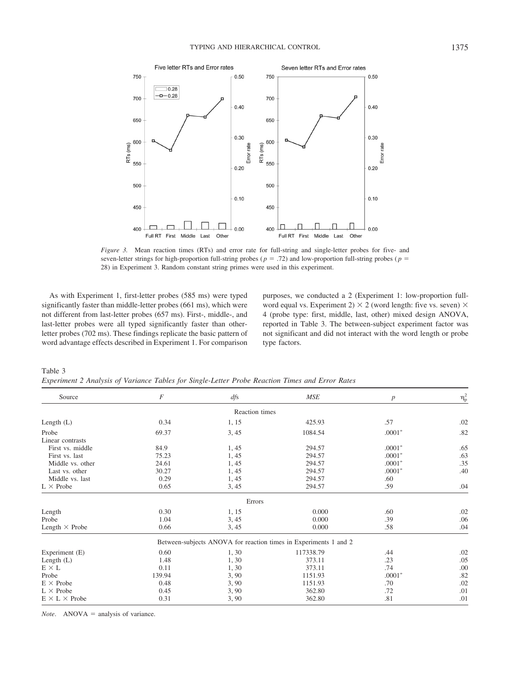

*Figure 3.* Mean reaction times (RTs) and error rate for full-string and single-letter probes for five- and seven-letter strings for high-proportion full-string probes ( $p = .72$ ) and low-proportion full-string probes ( $p =$ 28) in Experiment 3. Random constant string primes were used in this experiment.

As with Experiment 1, first-letter probes (585 ms) were typed significantly faster than middle-letter probes (661 ms), which were not different from last-letter probes (657 ms). First-, middle-, and last-letter probes were all typed significantly faster than otherletter probes (702 ms). These findings replicate the basic pattern of word advantage effects described in Experiment 1. For comparison purposes, we conducted a 2 (Experiment 1: low-proportion fullword equal vs. Experiment 2)  $\times$  2 (word length: five vs. seven)  $\times$ 4 (probe type: first, middle, last, other) mixed design ANOVA, reported in Table 3. The between-subject experiment factor was not significant and did not interact with the word length or probe type factors.

Table 3 *Experiment 2 Analysis of Variance Tables for Single-Letter Probe Reaction Times and Error Rates*

| Source                    | F      | dfs            | <b>MSE</b>                                                       | $\boldsymbol{p}$ | $\eta_{\rm p}^2$ |
|---------------------------|--------|----------------|------------------------------------------------------------------|------------------|------------------|
|                           |        | Reaction times |                                                                  |                  |                  |
| Length $(L)$              | 0.34   | 1, 15          | 425.93                                                           | .57              | .02              |
| Probe                     | 69.37  | 3,45           | 1084.54                                                          | $.0001*$         | .82              |
| Linear contrasts          |        |                |                                                                  |                  |                  |
| First vs. middle          | 84.9   | 1, 45          | 294.57                                                           | $.0001*$         | .65              |
| First vs. last            | 75.23  | 1, 45          | 294.57                                                           | $.0001*$         | .63              |
| Middle vs. other          | 24.61  | 1, 45          | 294.57                                                           | $.0001*$         | .35              |
| Last vs. other            | 30.27  | 1, 45          | 294.57                                                           | $.0001*$         | .40              |
| Middle vs. last           | 0.29   | 1, 45          | 294.57                                                           | .60              |                  |
| $L \times$ Probe          | 0.65   | 3,45           | 294.57                                                           | .59              | .04              |
|                           |        | Errors         |                                                                  |                  |                  |
| Length                    | 0.30   | 1, 15          | 0.000                                                            | .60              | .02              |
| Probe                     | 1.04   | 3,45           | 0.000                                                            | .39              | .06              |
| Length $\times$ Probe     | 0.66   | 3,45           | 0.000                                                            | .58              | .04              |
|                           |        |                | Between-subjects ANOVA for reaction times in Experiments 1 and 2 |                  |                  |
| Experiment (E)            | 0.60   | 1,30           | 117338.79                                                        | .44              | .02              |
| Length $(L)$              | 1.48   | 1,30           | 373.11                                                           | .23              | .05              |
| $E \times L$              | 0.11   | 1,30           | 373.11                                                           | .74              | .00              |
| Probe                     | 139.94 | 3, 90          | 1151.93                                                          | $.0001*$         | .82              |
| $E \times$ Probe          | 0.48   | 3, 90          | 1151.93                                                          | .70              | .02              |
| $L \times$ Probe          | 0.45   | 3, 90          | 362.80                                                           | .72              | .01              |
| $E \times L \times$ Probe | 0.31   | 3, 90          | 362.80                                                           | .81              | .01              |

*Note.* ANOVA  $=$  analysis of variance.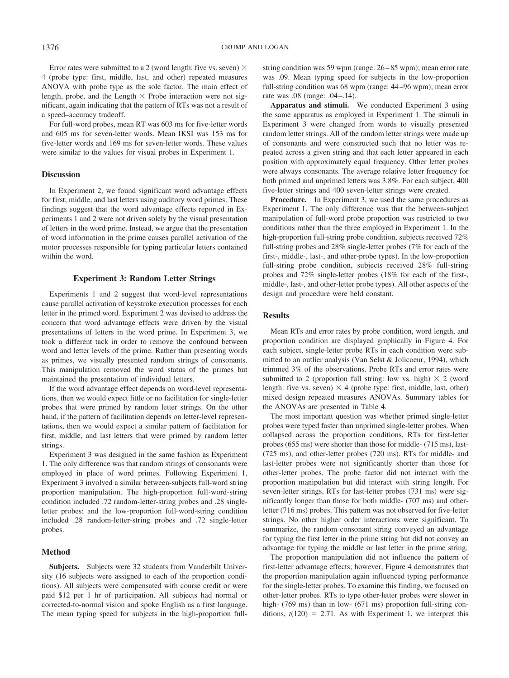Error rates were submitted to a 2 (word length: five vs. seven)  $\times$ 4 (probe type: first, middle, last, and other) repeated measures ANOVA with probe type as the sole factor. The main effect of length, probe, and the Length  $\times$  Probe interaction were not significant, again indicating that the pattern of RTs was not a result of a speed–accuracy tradeoff.

For full-word probes, mean RT was 603 ms for five-letter words and 605 ms for seven-letter words. Mean IKSI was 153 ms for five-letter words and 169 ms for seven-letter words. These values were similar to the values for visual probes in Experiment 1.

# **Discussion**

In Experiment 2, we found significant word advantage effects for first, middle, and last letters using auditory word primes. These findings suggest that the word advantage effects reported in Experiments 1 and 2 were not driven solely by the visual presentation of letters in the word prime. Instead, we argue that the presentation of word information in the prime causes parallel activation of the motor processes responsible for typing particular letters contained within the word.

## **Experiment 3: Random Letter Strings**

Experiments 1 and 2 suggest that word-level representations cause parallel activation of keystroke execution processes for each letter in the primed word. Experiment 2 was devised to address the concern that word advantage effects were driven by the visual presentations of letters in the word prime. In Experiment 3, we took a different tack in order to remove the confound between word and letter levels of the prime. Rather than presenting words as primes, we visually presented random strings of consonants. This manipulation removed the word status of the primes but maintained the presentation of individual letters.

If the word advantage effect depends on word-level representations, then we would expect little or no facilitation for single-letter probes that were primed by random letter strings. On the other hand, if the pattern of facilitation depends on letter-level representations, then we would expect a similar pattern of facilitation for first, middle, and last letters that were primed by random letter strings.

Experiment 3 was designed in the same fashion as Experiment 1. The only difference was that random strings of consonants were employed in place of word primes. Following Experiment 1, Experiment 3 involved a similar between-subjects full-word string proportion manipulation. The high-proportion full-word-string condition included .72 random-letter-string probes and .28 singleletter probes; and the low-proportion full-word-string condition included .28 random-letter-string probes and .72 single-letter probes.

#### **Method**

**Subjects.** Subjects were 32 students from Vanderbilt University (16 subjects were assigned to each of the proportion conditions). All subjects were compensated with course credit or were paid \$12 per 1 hr of participation. All subjects had normal or corrected-to-normal vision and spoke English as a first language. The mean typing speed for subjects in the high-proportion fullstring condition was 59 wpm (range: 26 – 85 wpm); mean error rate was .09. Mean typing speed for subjects in the low-proportion full-string condition was 68 wpm (range:  $44-96$  wpm); mean error rate was .08 (range: .04 –.14).

**Apparatus and stimuli.** We conducted Experiment 3 using the same apparatus as employed in Experiment 1. The stimuli in Experiment 3 were changed from words to visually presented random letter strings. All of the random letter strings were made up of consonants and were constructed such that no letter was repeated across a given string and that each letter appeared in each position with approximately equal frequency. Other letter probes were always consonants. The average relative letter frequency for both primed and unprimed letters was 3.8%. For each subject, 400 five-letter strings and 400 seven-letter strings were created.

**Procedure.** In Experiment 3, we used the same procedures as Experiment 1. The only difference was that the between-subject manipulation of full-word probe proportion was restricted to two conditions rather than the three employed in Experiment 1. In the high-proportion full-string probe condition, subjects received 72% full-string probes and 28% single-letter probes (7% for each of the first-, middle-, last-, and other-probe types). In the low-proportion full-string probe condition, subjects received 28% full-string probes and 72% single-letter probes (18% for each of the first-, middle-, last-, and other-letter probe types). All other aspects of the design and procedure were held constant.

# **Results**

Mean RTs and error rates by probe condition, word length, and proportion condition are displayed graphically in Figure 4. For each subject, single-letter probe RTs in each condition were submitted to an outlier analysis (Van Selst & Jolicoeur, 1994), which trimmed 3% of the observations. Probe RTs and error rates were submitted to 2 (proportion full string: low vs. high)  $\times$  2 (word length: five vs. seven)  $\times$  4 (probe type: first, middle, last, other) mixed design repeated measures ANOVAs. Summary tables for the ANOVAs are presented in Table 4.

The most important question was whether primed single-letter probes were typed faster than unprimed single-letter probes. When collapsed across the proportion conditions, RTs for first-letter probes (655 ms) were shorter than those for middle- (715 ms), last- (725 ms), and other-letter probes (720 ms). RTs for middle- and last-letter probes were not significantly shorter than those for other-letter probes. The probe factor did not interact with the proportion manipulation but did interact with string length. For seven-letter strings, RTs for last-letter probes (731 ms) were significantly longer than those for both middle- (707 ms) and otherletter (716 ms) probes. This pattern was not observed for five-letter strings. No other higher order interactions were significant. To summarize, the random consonant string conveyed an advantage for typing the first letter in the prime string but did not convey an advantage for typing the middle or last letter in the prime string.

The proportion manipulation did not influence the pattern of first-letter advantage effects; however, Figure 4 demonstrates that the proportion manipulation again influenced typing performance for the single-letter probes. To examine this finding, we focused on other-letter probes. RTs to type other-letter probes were slower in high- (769 ms) than in low- (671 ms) proportion full-string conditions,  $t(120) = 2.71$ . As with Experiment 1, we interpret this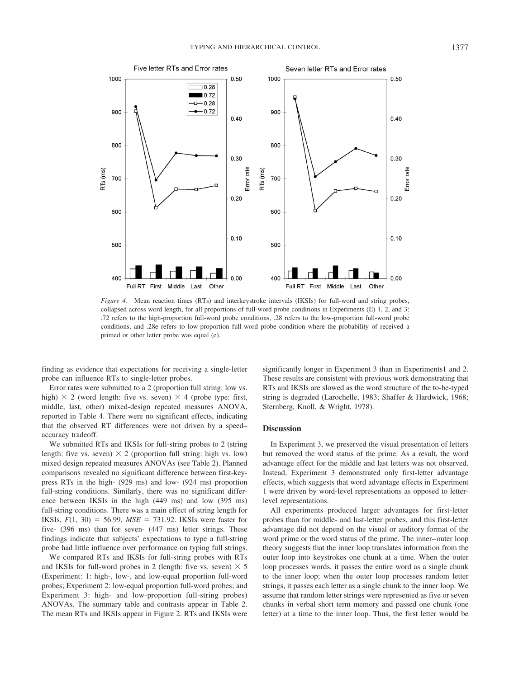

*Figure 4.* Mean reaction times (RTs) and interkeystroke intervals (IKSIs) for full-word and string probes, collapsed across word length, for all proportions of full-word probe conditions in Experiments (E) 1, 2, and 3: .72 refers to the high-proportion full-word probe conditions, .28 refers to the low-proportion full-word probe conditions, and .28e refers to low-proportion full-word probe condition where the probability of received a primed or other letter probe was equal (e).

finding as evidence that expectations for receiving a single-letter probe can influence RTs to single-letter probes.

Error rates were submitted to a 2 (proportion full string: low vs. high)  $\times$  2 (word length: five vs. seven)  $\times$  4 (probe type: first, middle, last, other) mixed-design repeated measures ANOVA, reported in Table 4. There were no significant effects, indicating that the observed RT differences were not driven by a speed– accuracy tradeoff.

We submitted RTs and IKSIs for full-string probes to 2 (string length: five vs. seven)  $\times$  2 (proportion full string: high vs. low) mixed design repeated measures ANOVAs (see Table 2). Planned comparisons revealed no significant difference between first-keypress RTs in the high- (929 ms) and low- (924 ms) proportion full-string conditions. Similarly, there was no significant difference between IKSIs in the high (449 ms) and low (395 ms) full-string conditions. There was a main effect of string length for IKSIs,  $F(1, 30) = 56.99$ ,  $MSE = 731.92$ . IKSIs were faster for five- (396 ms) than for seven- (447 ms) letter strings. These findings indicate that subjects' expectations to type a full-string probe had little influence over performance on typing full strings.

We compared RTs and IKSIs for full-string probes with RTs and IKSIs for full-word probes in 2 (length: five vs. seven)  $\times$  5 (Experiment: 1: high-, low-, and low-equal proportion full-word probes; Experiment 2: low-equal proportion full-word probes; and Experiment 3: high- and low-proportion full-string probes) ANOVAs. The summary table and contrasts appear in Table 2. The mean RTs and IKSIs appear in Figure 2. RTs and IKSIs were significantly longer in Experiment 3 than in Experiments1 and 2. These results are consistent with previous work demonstrating that RTs and IKSIs are slowed as the word structure of the to-be-typed string is degraded (Larochelle, 1983; Shaffer & Hardwick, 1968; Sternberg, Knoll, & Wright, 1978).

#### **Discussion**

In Experiment 3, we preserved the visual presentation of letters but removed the word status of the prime. As a result, the word advantage effect for the middle and last letters was not observed. Instead, Experiment 3 demonstrated only first-letter advantage effects, which suggests that word advantage effects in Experiment 1 were driven by word-level representations as opposed to letterlevel representations.

All experiments produced larger advantages for first-letter probes than for middle- and last-letter probes, and this first-letter advantage did not depend on the visual or auditory format of the word prime or the word status of the prime. The inner– outer loop theory suggests that the inner loop translates information from the outer loop into keystrokes one chunk at a time. When the outer loop processes words, it passes the entire word as a single chunk to the inner loop; when the outer loop processes random letter strings, it passes each letter as a single chunk to the inner loop. We assume that random letter strings were represented as five or seven chunks in verbal short term memory and passed one chunk (one letter) at a time to the inner loop. Thus, the first letter would be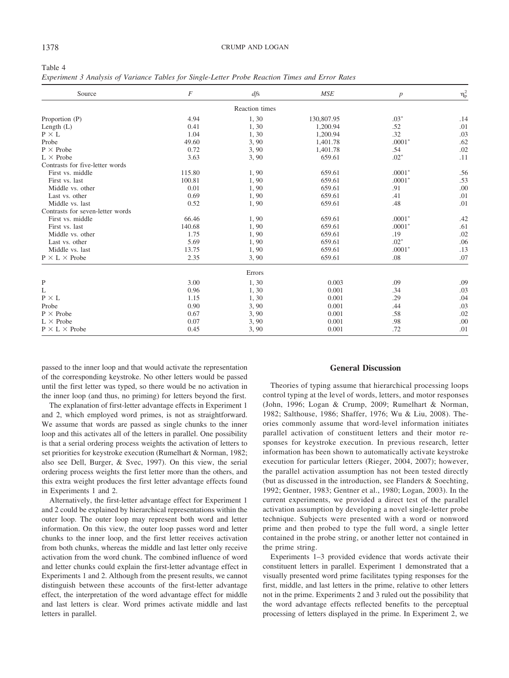#### 1378 CRUMP AND LOGAN

Table 4

*Experiment 3 Analysis of Variance Tables for Single-Letter Probe Reaction Times and Error Rates*

| Source                           | $\boldsymbol{F}$ | dfs            | <b>MSE</b> | $\boldsymbol{p}$ | $\eta_p^2$ |
|----------------------------------|------------------|----------------|------------|------------------|------------|
|                                  |                  | Reaction times |            |                  |            |
| Proportion (P)                   | 4.94             | 1,30           | 130,807.95 | $.03*$           | .14        |
| Length $(L)$                     | 0.41             | 1,30           | 1,200.94   | .52              | .01        |
| $P \times L$                     | 1.04             | 1,30           | 1,200.94   | .32              | .03        |
| Probe                            | 49.60            | 3,90           | 1,401.78   | $.0001*$         | .62        |
| $P \times$ Probe                 | 0.72             | 3,90           | 1,401.78   | .54              | .02        |
| $L \times$ Probe                 | 3.63             | 3,90           | 659.61     | $.02*$           | .11        |
| Contrasts for five-letter words  |                  |                |            |                  |            |
| First vs. middle                 | 115.80           | 1,90           | 659.61     | $.0001*$         | .56        |
| First vs. last                   | 100.81           | 1,90           | 659.61     | $.0001*$         | .53        |
| Middle vs. other                 | 0.01             | 1,90           | 659.61     | .91              | .00        |
| Last vs. other                   | 0.69             | 1,90           | 659.61     | .41              | .01        |
| Middle vs. last                  | 0.52             | 1,90           | 659.61     | .48              | .01        |
| Contrasts for seven-letter words |                  |                |            |                  |            |
| First vs. middle                 | 66.46            | 1,90           | 659.61     | $.0001*$         | .42        |
| First vs. last                   | 140.68           | 1,90           | 659.61     | $.0001*$         | .61        |
| Middle vs. other                 | 1.75             | 1,90           | 659.61     | .19              | .02        |
| Last vs. other                   | 5.69             | 1,90           | 659.61     | $.02*$           | .06        |
| Middle vs. last                  | 13.75            | 1,90           | 659.61     | $.0001*$         | .13        |
| $P \times L \times$ Probe        | 2.35             | 3, 90          | 659.61     | .08              | .07        |
|                                  |                  | Errors         |            |                  |            |
| $\, {\bf P}$                     | 3.00             | 1,30           | 0.003      | .09              | .09        |
| L                                | 0.96             | 1,30           | 0.001      | .34              | .03        |
| $P \times L$                     | 1.15             | 1,30           | 0.001      | .29              | .04        |
| Probe                            | 0.90             | 3, 90          | 0.001      | .44              | .03        |
| $P \times$ Probe                 | 0.67             | 3,90           | 0.001      | .58              | .02        |
| $L \times$ Probe                 | 0.07             | 3,90           | 0.001      | .98              | .00        |
| $P \times L \times$ Probe        | 0.45             | 3, 90          | 0.001      | .72              | .01        |

passed to the inner loop and that would activate the representation of the corresponding keystroke. No other letters would be passed until the first letter was typed, so there would be no activation in the inner loop (and thus, no priming) for letters beyond the first.

The explanation of first-letter advantage effects in Experiment 1 and 2, which employed word primes, is not as straightforward. We assume that words are passed as single chunks to the inner loop and this activates all of the letters in parallel. One possibility is that a serial ordering process weights the activation of letters to set priorities for keystroke execution (Rumelhart & Norman, 1982; also see Dell, Burger, & Svec, 1997). On this view, the serial ordering process weights the first letter more than the others, and this extra weight produces the first letter advantage effects found in Experiments 1 and 2.

Alternatively, the first-letter advantage effect for Experiment 1 and 2 could be explained by hierarchical representations within the outer loop. The outer loop may represent both word and letter information. On this view, the outer loop passes word and letter chunks to the inner loop, and the first letter receives activation from both chunks, whereas the middle and last letter only receive activation from the word chunk. The combined influence of word and letter chunks could explain the first-letter advantage effect in Experiments 1 and 2. Although from the present results, we cannot distinguish between these accounts of the first-letter advantage effect, the interpretation of the word advantage effect for middle and last letters is clear. Word primes activate middle and last letters in parallel.

## **General Discussion**

Theories of typing assume that hierarchical processing loops control typing at the level of words, letters, and motor responses (John, 1996; Logan & Crump, 2009; Rumelhart & Norman, 1982; Salthouse, 1986; Shaffer, 1976; Wu & Liu, 2008). Theories commonly assume that word-level information initiates parallel activation of constituent letters and their motor responses for keystroke execution. In previous research, letter information has been shown to automatically activate keystroke execution for particular letters (Rieger, 2004, 2007); however, the parallel activation assumption has not been tested directly (but as discussed in the introduction, see Flanders & Soechting, 1992; Gentner, 1983; Gentner et al., 1980; Logan, 2003). In the current experiments, we provided a direct test of the parallel activation assumption by developing a novel single-letter probe technique. Subjects were presented with a word or nonword prime and then probed to type the full word, a single letter contained in the probe string, or another letter not contained in the prime string.

Experiments 1–3 provided evidence that words activate their constituent letters in parallel. Experiment 1 demonstrated that a visually presented word prime facilitates typing responses for the first, middle, and last letters in the prime, relative to other letters not in the prime. Experiments 2 and 3 ruled out the possibility that the word advantage effects reflected benefits to the perceptual processing of letters displayed in the prime. In Experiment 2, we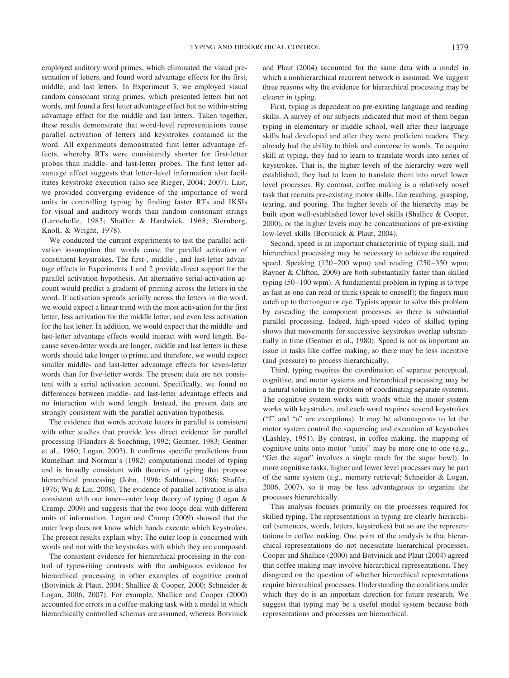employed auditory word primes, which eliminated the visual presentation of letters, and found word advantage effects for the first, middle, and last letters. In Experiment 3, we employed visual random consonant string primes, which presented letters but not words, and found a first letter advantage effect but no within-string advantage effect for the middle and last letters. Taken together, these results demonstrate that word-level representations cause parallel activation of letters and keystrokes contained in the word. All experiments demonstrated first letter advantage effects, whereby RTs were consistently shorter for first-letter probes than middle- and last-letter probes. The first letter advantage effect suggests that letter-level information also facilitates keystroke execution (also see Rieger, 2004; 2007). Last, we provided converging evidence of the importance of word units in controlling typing by finding faster RTs and IKSIs for visual and auditory words than random consonant strings (Larochelle, 1983; Shaffer & Hardwick, 1968; Sternberg, Knoll, & Wright, 1978).

We conducted the current experiments to test the parallel activation assumption that words cause the parallel activation of constituent keystrokes. The first-, middle-, and last-letter advantage effects in Experiments 1 and 2 provide direct support for the parallel activation hypothesis. An alternative serial-activation account would predict a gradient of priming across the letters in the word. If activation spreads serially across the letters in the word, we would expect a linear trend with the most activation for the first letter, less activation for the middle letter, and even less activation for the last letter. In addition, we would expect that the middle- and last-letter advantage effects would interact with word length. Because seven-letter words are longer, middle and last letters in these words should take longer to prime, and therefore, we would expect smaller middle- and last-letter advantage effects for seven-letter words than for five-letter words. The present data are not consistent with a serial activation account. Specifically, we found no differences between middle- and last-letter advantage effects and no interaction with word length. Instead, the present data are strongly consistent with the parallel activation hypothesis.

The evidence that words activate letters in parallel is consistent with other studies that provide less direct evidence for parallel processing (Flanders & Soechting, 1992; Gentner, 1983; Gentner et al., 1980; Logan, 2003). It confirms specific predictions from Rumelhart and Norman's (1982) computational model of typing and is broadly consistent with theories of typing that propose hierarchical processing (John, 1996; Salthouse, 1986; Shaffer, 1976; Wu & Liu, 2008). The evidence of parallel activation is also consistent with our inner–outer loop theory of typing (Logan & Crump, 2009) and suggests that the two loops deal with different units of information. Logan and Crump (2009) showed that the outer loop does not know which hands execute which keystrokes. The present results explain why: The outer loop is concerned with words and not with the keystrokes with which they are composed.

The consistent evidence for hierarchical processing in the control of typewriting contrasts with the ambiguous evidence for hierarchical processing in other examples of cognitive control (Botvinick & Plaut, 2004; Shallice & Cooper, 2000; Schneider & Logan, 2006, 2007). For example, Shallice and Cooper (2000) accounted for errors in a coffee-making task with a model in which hierarchically controlled schemas are assumed, whereas Botvinick and Plaut (2004) accounted for the same data with a model in which a nonhierarchical recurrent network is assumed. We suggest three reasons why the evidence for hierarchical processing may be clearer in typing.

First, typing is dependent on pre-existing language and reading skills. A survey of our subjects indicated that most of them began typing in elementary or middle school, well after their language skills had developed and after they were proficient readers. They already had the ability to think and converse in words. To acquire skill at typing, they had to learn to translate words into series of keystrokes. That is, the higher levels of the hierarchy were well established; they had to learn to translate them into novel lower level processes. By contrast, coffee making is a relatively novel task that recruits pre-existing motor skills, like reaching, grasping, tearing, and pouring. The higher levels of the hierarchy may be built upon well-established lower level skills (Shallice & Cooper, 2000), or the higher levels may be concatenations of pre-existing low-level skills (Botvinick & Plaut, 2004).

Second, speed is an important characteristic of typing skill, and hierarchical processing may be necessary to achieve the required speed. Speaking (120-200 wpm) and reading (250-350 wpm; Rayner & Clifton, 2009) are both substantially faster than skilled typing (50 –100 wpm). A fundamental problem in typing is to type as fast as one can read or think (speak to oneself); the fingers must catch up to the tongue or eye. Typists appear to solve this problem by cascading the component processes so there is substantial parallel processing. Indeed, high-speed video of skilled typing shows that movements for successive keystrokes overlap substantially in time (Gentner et al., 1980). Speed is not as important an issue in tasks like coffee making, so there may be less incentive (and pressure) to process hierarchically.

Third, typing requires the coordination of separate perceptual, cognitive, and motor systems and hierarchical processing may be a natural solution to the problem of coordinating separate systems. The cognitive system works with words while the motor system works with keystrokes, and each word requires several keystrokes ("I" and "a" are exceptions). It may be advantageous to let the motor system control the sequencing and execution of keystrokes (Lashley, 1951). By contrast, in coffee making, the mapping of cognitive units onto motor "units" may be more one to one (e.g., "Get the sugar" involves a single reach for the sugar bowl). In more cognitive tasks, higher and lower level processes may be part of the same system (e.g., memory retrieval; Schneider & Logan, 2006, 2007), so it may be less advantageous to organize the processes hierarchically.

This analysis focuses primarily on the processes required for skilled typing. The representations in typing are clearly hierarchical (sentences, words, letters, keystrokes) but so are the representations in coffee making. One point of the analysis is that hierarchical representations do not necessitate hierarchical processes. Cooper and Shallice (2000) and Botvinick and Plaut (2004) agreed that coffee making may involve hierarchical representations. They disagreed on the question of whether hierarchical representations require hierarchical processes. Understanding the conditions under which they do is an important direction for future research. We suggest that typing may be a useful model system because both representations and processes are hierarchical.